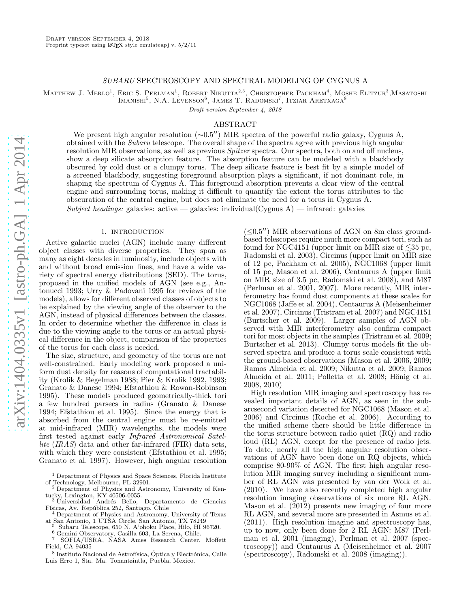# SUBARU SPECTROSCOPY AND SPECTRAL MODELING OF CYGNUS A

Matthew J. Merlo<sup>1</sup>, Eric S. Perlman<sup>1</sup>, Robert Nikutta<sup>2,3</sup>, Christopher Packham<sup>4</sup>, Moshe Elitzur<sup>3</sup>, Masatoshi  $\text{IMANISHI}^5, \text{ N.A. } \text{Levenson}^6, \text{ JAMES T. } \text{RADOMSKI}^7, \text{ITZIAR } \text{ARETXAGA}^8$ 

Draft version September 4, 2018

#### ABSTRACT

We present high angular resolution (∼0.5′′) MIR spectra of the powerful radio galaxy, Cygnus A, obtained with the Subaru telescope. The overall shape of the spectra agree with previous high angular resolution MIR observations, as well as previous Spitzer spectra. Our spectra, both on and off nucleus, show a deep silicate absorption feature. The absorption feature can be modeled with a blackbody obscured by cold dust or a clumpy torus. The deep silicate feature is best fit by a simple model of a screened blackbody, suggesting foreground absorption plays a significant, if not dominant role, in shaping the spectrum of Cygnus A. This foreground absorption prevents a clear view of the central engine and surrounding torus, making it difficult to quantify the extent the torus attributes to the obscuration of the central engine, but does not eliminate the need for a torus in Cygnus A.

Subject headings: galaxies: active — galaxies: individual(Cygnus A) — infrared: galaxies

# 1. INTRODUCTION

Active galactic nuclei (AGN) include many different object classes with diverse properties. They span as many as eight decades in luminosity, include objects with and without broad emission lines, and have a wide variety of spectral energy distributions (SED). The torus, proposed in the unified models of AGN (see e.g., Antonucci 1993; Urry & Padovani 1995 for reviews of the models), allows for different observed classes of objects to be explained by the viewing angle of the observer to the AGN, instead of physical differences between the classes. In order to determine whether the difference in class is due to the viewing angle to the torus or an actual physical difference in the object, comparison of the properties of the torus for each class is needed.

The size, structure, and geometry of the torus are not well-constrained. Early modeling work proposed a uniform dust density for reasons of computational tractability (Krolik & Begelman 1988; Pier & Krolik 1992, 1993; Granato & Danese 1994; Efstathiou & Rowan-Robinson 1995). These models produced geometrically-thick tori a few hundred parsecs in radius (Granato & Danese 1994; Efstathiou et al. 1995). Since the energy that is absorbed from the central engine must be re-emitted at mid-infrared (MIR) wavelengths, the models were first tested against early Infrared Astronomical Satellite (IRAS) data and other far-infrared (FIR) data sets, with which they were consistent (Efstathiou et al. 1995; Granato et al. 1997). However, high angular resolution

<sup>1</sup> Department of Physics and Space Sciences, Florida Institute of Technology, Melbourne, FL 32901.<br><sup>2</sup> Department of Physics and Actric

<sup>2</sup> Department of Physics and Astronomy, University of Kentucky, Lexington, KY 40506-0055.<br><sup>3</sup> Universidad Andrés Bello, Departamento de Ciencias

Físicas, Av. República 252, Santiago, Chile

<sup>4</sup> Department of Physics and Astronomy, University of Texas at San Antonio, 1 UTSA Circle, San Antonio, TX 78249

<sup>5</sup> Subaru Telescope, 650 N. A'ohoku Place, Hilo, HI 96720. <sup>6</sup> Gemini Observatory, Casilla 603, La Serena, Chile.

<sup>7</sup> SOFIA/USRA, NASA Ames Research Center, Moffett Field, CA 94035

 $^8$ Instituto Nacional de Astrofísica, Óptica y Electrónica, Calle Luis Erro 1, Sta. Ma. Tonantzintla, Puebla, Mexico.

 $(<0.5'')$  MIR observations of AGN on 8m class groundbased telescopes require much more compact tori, such as found for NGC4151 (upper limit on MIR size of  $\leq 35$  pc, Radomski et al. 2003), Circinus (upper limit on MIR size of 12 pc, Packham et al. 2005), NGC1068 (upper limit of 15 pc, Mason et al. 2006), Centaurus A (upper limit on MIR size of 3.5 pc, Radomski et al. 2008), and M87 (Perlman et al. 2001, 2007). More recently, MIR interferometry has found dust components at these scales for NGC1068 (Jaffe et al. 2004), Centaurus A (Meisenheimer et al. 2007), Circinus (Tristram et al. 2007) and NGC4151 (Burtscher et al. 2009). Larger samples of AGN observed with MIR interferometry also confirm compact tori for most objects in the samples (Tristram et al. 2009; Burtscher et al. 2013). Clumpy torus models fit the observed spectra and produce a torus scale consistent with the ground-based observations (Mason et al. 2006, 2009; Ramos Almeida et al. 2009; Nikutta et al. 2009; Ramos Almeida et al. 2011; Polletta et al. 2008; Hönig et al. 2008, 2010)

High resolution MIR imaging and spectroscopy has revealed important details of AGN, as seen in the subarcsecond variation detected for NGC1068 (Mason et al. 2006) and Circinus (Roche et al. 2006). According to the unified scheme there should be little difference in the torus structure between radio quiet (RQ) and radio loud (RL) AGN, except for the presence of radio jets. To date, nearly all the high angular resolution observations of AGN have been done on RQ objects, which comprise 80-90% of AGN. The first high angular resolution MIR imaging survey including a significant number of RL AGN was presented by van der Wolk et al. (2010). We have also recently completed high angular resolution imaging observations of six more RL AGN. Mason et al. (2012) presents new imaging of four more RL AGN, and several more are presented in Asmus et al. (2011). High resolution imagine and spectroscopy has, up to now, only been done for 2 RL AGN: M87 (Perlman et al. 2001 (imaging), Perlman et al. 2007 (spectroscopy)) and Centaurus A (Meisenheimer et al. 2007 (spectroscopy), Radomski et al. 2008 (imaging)).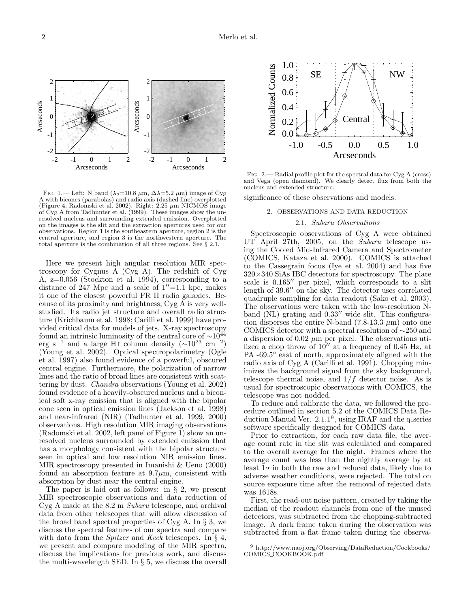

FIG. 1.— Left: N band ( $\lambda_o$ =10.8  $\mu$ m,  $\Delta\lambda$ =5.2  $\mu$ m) image of Cyg A with bicones (parabolas) and radio axis (dashed line) overplotted (Figure 4, Radomski et al. 2002). Right:  $2.25 \mu m$  NICMOS image of Cyg A from Tadhunter et al. (1999). These images show the unresolved nucleus and surrounding extended emission. Overplotted on the images is the slit and the extraction apertures used for our observations. Region 1 is the southeastern aperture, region 2 is the central aperture, and region 3 is the northwestern aperture. The total aperture is the combination of all three regions. See § 2.1.

Here we present high angular resolution MIR spectroscopy for Cygnus A (Cyg A). The redshift of Cyg A, z=0.056 (Stockton et al. 1994), corresponding to a distance of 247 Mpc and a scale of  $1''=1.1$  kpc, makes it one of the closest powerful FR II radio galaxies. Because of its proximity and brightness, Cyg A is very wellstudied. Its radio jet structure and overall radio structure (Krichbaum et al. 1998; Carilli et al. 1999) have provided critical data for models of jets. X-ray spectroscopy found an intrinsic luminosity of the central core of  $\sim$ 10<sup>44</sup> erg s<sup>-1</sup> and a large H<sub>I</sub> column density ( $\sim$ 10<sup>23</sup> cm<sup>-2</sup>) (Young et al. 2002). Optical spectropolarimetry (Ogle et al. 1997) also found evidence of a powerful, obscured central engine. Furthermore, the polarization of narrow lines and the ratio of broad lines are consistent with scattering by dust. Chandra observations (Young et al. 2002) found evidence of a heavily-obscured nucleus and a biconical soft x-ray emission that is aligned with the bipolar cone seen in optical emission lines (Jackson et al. 1998) and near-infrared (NIR) (Tadhunter et al. 1999, 2000) observations. High resolution MIR imaging observations (Radomski et al. 2002, left panel of Figure 1) show an unresolved nucleus surrounded by extended emission that has a morphology consistent with the bipolar structure seen in optical and low resolution NIR emission lines. MIR spectroscopy presented in Imanishi & Ueno (2000) found an absorption feature at  $9.7\mu$ m, consistent with absorption by dust near the central engine.

The paper is laid out as follows: in § 2, we present MIR spectroscopic observations and data reduction of Cyg A made at the 8.2 m Subaru telescope, and archival data from other telescopes that will allow discussion of the broad band spectral properties of Cyg A. In  $\S$  3, we discuss the spectral features of our spectra and compare with data from the *Spitzer* and *Keck* telescopes. In  $\S$  4, we present and compare modeling of the MIR spectra, discuss the implications for previous work, and discuss the multi-wavelength SED. In § 5, we discuss the overall



Fig. 2.— Radial profile plot for the spectral data for Cyg A (cross) and Vega (open diamond). We clearly detect flux from both the nucleus and extended structure.

significance of these observations and models.

#### 2. OBSERVATIONS AND DATA REDUCTION

## 2.1. Subaru Observations

Spectroscopic observations of Cyg A were obtained UT April 27th, 2005, on the Subaru telescope using the Cooled Mid-Infrared Camera and Spectrometer (COMICS, Kataza et al. 2000). COMICS is attached to the Cassegrain focus (Iye et al. 2004) and has five  $320\times340$  SiAs IBC detectors for spectroscopy. The plate scale is 0.165′′ per pixel, which corresponds to a slit length of 39.6′′ on the sky. The detector uses correlated quadruple sampling for data readout (Sako et al. 2003). The observations were taken with the low-resolution Nband (NL) grating and  $0.33''$  wide slit. This configuration disperses the entire N-band  $(7.8-13.3 \mu m)$  onto one COMICS detector with a spectral resolution of ∼250 and a dispersion of  $0.02 \mu m$  per pixel. The observations utilized a chop throw of 10′′ at a frequency of 0.45 Hz, at PA -69.5° east of north, approximately aligned with the radio axis of Cyg A (Carilli et al. 1991). Chopping minimizes the background signal from the sky background, telescope thermal noise, and  $1/f$  detector noise. As is usual for spectroscopic observations with COMICS, the telescope was not nodded.

To reduce and calibrate the data, we followed the procedure outlined in section 5.2 of the COMICS Data Reduction Manual Ver. 2.1.1<sup>9</sup>, using IRAF and the q\_series software specifically designed for COMICS data.

Prior to extraction, for each raw data file, the average count rate in the slit was calculated and compared to the overall average for the night. Frames where the average count was less than the nightly average by at least  $1\sigma$  in both the raw and reduced data, likely due to adverse weather conditions, were rejected. The total on source exposure time after the removal of rejected data was 1618s.

First, the read-out noise pattern, created by taking the median of the readout channels from one of the unused detectors, was subtracted from the chopping-subtracted image. A dark frame taken during the observation was subtracted from a flat frame taken during the observa-

<sup>9</sup> http://www.naoj.org/Observing/DataReduction/Cookbooks/ COMICS COOKBOOK.pdf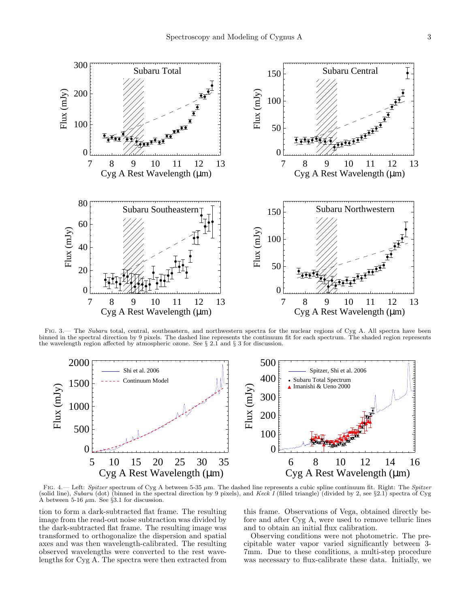

FIG. 3.— The Subaru total, central, southeastern, and northwestern spectra for the nuclear regions of Cyg A. All spectra have been binned in the spectral direction by 9 pixels. The dashed line represents the continuum fit for each spectrum. The shaded region represents the wavelength region affected by atmospheric ozone. See § 2.1 and § 3 for discussion.



FIG. 4.— Left: Spitzer spectrum of Cyg A between 5-35  $\mu$ m. The dashed line represents a cubic spline continuum fit. Right: The Spitzer (solid line), Subaru (dot) (binned in the spectral direction by 9 pixels), and Keck I (filled triangle) (divided by 2, see §2.1) spectra of Cyg A between 5-16  $\mu$ m. See §3.1 for discussion.

tion to form a dark-subtracted flat frame. The resulting image from the read-out noise subtraction was divided by the dark-subtracted flat frame. The resulting image was transformed to orthogonalize the dispersion and spatial axes and was then wavelength-calibrated. The resulting observed wavelengths were converted to the rest wavelengths for Cyg A. The spectra were then extracted from

this frame. Observations of Vega, obtained directly before and after Cyg A, were used to remove telluric lines and to obtain an initial flux calibration.

Observing conditions were not photometric. The precipitable water vapor varied significantly between 3- 7mm. Due to these conditions, a multi-step procedure was necessary to flux-calibrate these data. Initially, we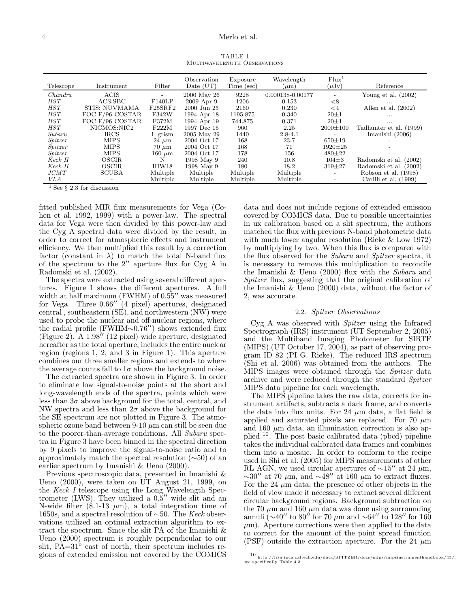TABLE 1 Multiwavelength Observations

| Telescope  | Instrument           | Filter         | Observation<br>Date $(UT)$ | Exposure<br>Time (sec) | Wavelength<br>$(\mu m)$ | Flux <sup>1</sup><br>$(\mu Jy)$ | Reference                 |
|------------|----------------------|----------------|----------------------------|------------------------|-------------------------|---------------------------------|---------------------------|
| Chandra    | <b>ACIS</b>          | $\overline{a}$ | 2000 May 26                | 9228                   | 0.000138-0.00177        |                                 | Young et al. $(2002)$     |
| <b>HST</b> | ACS:ABC              | F140LP         | $2009$ Apr $9$             | 1206                   | 0.153                   | $<$ 8                           | $\cdots$                  |
| <b>HST</b> | <b>STIS: NUVMAMA</b> | F25SRF2        | 2000 Jun 25                | 2160                   | 0.230                   | $\leq 4$                        | Allen et al. $(2002)$     |
| <b>HST</b> | FOC F/96 COSTAR      | F342W          | 1994 Apr 18                | 1195.875               | 0.340                   | $20 + 1$                        | $\cdots$                  |
| <b>HST</b> | FOC F/96 COSTAR      | F372M          | 1994 Apr 19                | 744.875                | 0.371                   | $20 + 1$                        | $\cdots$                  |
| <b>HST</b> | NICMOS:NIC2          | F222M          | 1997 Dec 15                | 960                    | 2.25                    | $2000 \pm 100$                  | Tadhunter et al. (1999)   |
| Subaru     | <b>IRCS</b>          | L grism        | 2005 May 29                | 1440                   | $2.8 - 4.1$             |                                 | Imanishi (2006)           |
| Spitzer    | <b>MIPS</b>          | $24 \mu m$     | 2004 Oct 17                | 168                    | 23.7                    | $650 \pm 19$                    |                           |
| Spitzer    | <b>MIPS</b>          | $70 \mu m$     | 2004 Oct 17                | 168                    | 71                      | $1920 \pm 25$                   |                           |
| Spitzer    | <b>MIPS</b>          | $160 \mu m$    | 2004 Oct 17                | 178                    | 156                     | $480 \pm 22$                    |                           |
| Keck II    | OSCIR.               | N              | 1998 May 9                 | 240                    | 10.8                    | $104 + 3$                       | Radomski et al.<br>(2002) |
| Keck II    | <b>OSCIR</b>         | IHW18          | 1998 May 9                 | 180                    | 18.2                    | $319 + 27$                      | Radomski et al.<br>(2002) |
| JCMT       | <b>SCUBA</b>         | Multiple       | Multiple                   | Multiple               | Multiple                |                                 | (1998)<br>Robson et al.   |
| VLA        |                      | Multiple       | Multiple                   | Multiple               | Multiple                |                                 | Carilli et al.<br>(1999)  |

<sup>1</sup> See  $\S$  2.3 for discussion

fitted published MIR flux measurements for Vega (Cohen et al. 1992, 1999) with a power-law. The spectral data for Vega were then divided by this power-law and the Cyg A spectral data were divided by the result, in order to correct for atmospheric effects and instrument efficiency. We then multiplied this result by a correction factor (constant in  $\lambda$ ) to match the total N-band flux of the spectrum to the 2′′ aperture flux for Cyg A in Radomski et al. (2002).

The spectra were extracted using several different apertures. Figure 1 shows the different apertures. A full width at half maximum (FWHM) of  $0.55''$  was measured for Vega. Three 0.66′′ (4 pixel) apertures, designated central , southeastern (SE), and northwestern (NW) were used to probe the nuclear and off-nuclear regions, where the radial profile (FWHM∼0.76′′) shows extended flux (Figure 2). A 1.98′′ (12 pixel) wide aperture, designated hereafter as the total aperture, includes the entire nuclear region (regions 1, 2, and 3 in Figure 1). This aperture combines our three smaller regions and extends to where the average counts fall to  $1\sigma$  above the background noise.

The extracted spectra are shown in Figure 3. In order to eliminate low signal-to-noise points at the short and long-wavelength ends of the spectra, points which were less than  $3\sigma$  above background for the total, central, and NW spectra and less than  $2\sigma$  above the background for the SE spectrum are not plotted in Figure 3. The atmospheric ozone band between  $9-10 \mu m$  can still be seen due to the poorer-than-average conditions. All Subaru spectra in Figure 3 have been binned in the spectral direction by 9 pixels to improve the signal-to-noise ratio and to approximately match the spectral resolution (∼50) of an earlier spectrum by Imanishi & Ueno (2000).

Previous spectroscopic data, presented in Imanishi & Ueno (2000), were taken on UT August 21, 1999, on the Keck I telescope using the Long Wavelength Spectrometer (LWS). They utilized a 0.5′′ wide slit and an N-wide filter  $(8.1-13 \mu m)$ , a total integration time of 1650s, and a spectral resolution of  $\sim$ 50. The Keck observations utilized an optimal extraction algorithm to extract the spectrum. Since the slit PA of the Imanishi & Ueno (2000) spectrum is roughly perpendicular to our slit,  $PA=31^\circ$  east of north, their spectrum includes regions of extended emission not covered by the COMICS

data and does not include regions of extended emission covered by COMICS data. Due to possible uncertainties in ux calibration based on a slit spectrum, the authors matched the flux with previous N-band photometric data with much lower angular resolution (Rieke & Low 1972) by multiplying by two. When this flux is compared with the flux observed for the Subaru and Spitzer spectra, it is necessary to remove this multiplication to reconcile the Imanishi  $\&$  Ueno (2000) flux with the Subaru and Spitzer flux, suggesting that the original calibration of the Imanishi & Ueno (2000) data, without the factor of 2, was accurate.

## 2.2. Spitzer Observations

Cyg A was observed with Spitzer using the Infrared Spectrograph (IRS) instrument (UT September 2, 2005) and the Multiband Imaging Photometer for SIRTF (MIPS) (UT October 17, 2004), as part of observing program ID 82 (PI G. Rieke). The reduced IRS spectrum (Shi et al. 2006) was obtained from the authors. The MIPS images were obtained through the Spitzer data archive and were reduced through the standard Spitzer MIPS data pipeline for each wavelength.

The MIPS pipeline takes the raw data, corrects for instrument artifacts, subtracts a dark frame, and converts the data into flux units. For 24  $\mu$ m data, a flat field is applied and saturated pixels are replaced. For 70  $\mu$ m and 160  $\mu$ m data, an illumination correction is also applied <sup>10</sup>. The post basic calibrated data (pbcd) pipeline takes the individual calibrated data frames and combines them into a mosaic. In order to conform to the recipe used in Shi et al. (2005) for MIPS measurements of other RL AGN, we used circular apertures of  $\sim 15''$  at 24  $\mu$ m,  $\sim$ 30″ at 70  $\mu$ m, and  $\sim$ 48″ at 160  $\mu$ m to extract fluxes. For the 24  $\mu$ m data, the presence of other objects in the field of view made it necessary to extract several different circular background regions. Background subtraction on the 70  $\mu$ m and 160  $\mu$ m data was done using surrounding annuli (∼40′′ to 80′′ for 70 µm and ∼64′′ to 128′′ for 160  $\mu$ m). Aperture corrections were then applied to the data to correct for the amount of the point spread function (PSF) outside the extraction aperture. For the 24  $\mu$ m

<sup>10</sup> http://irsa.ipca.caltech.edu/data/SPITZER/docs/mips/mipsinstrumenthandbook/45/, see specifically Table 4.3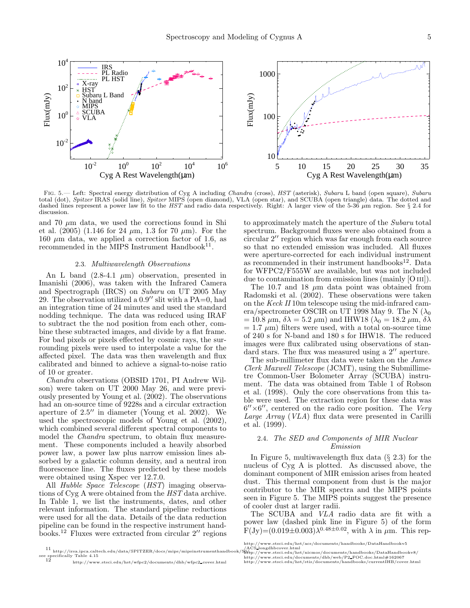

FIG. 5.— Left: Spectral energy distribution of Cyg A including Chandra (cross), HST (asterisk), Subaru L band (open square), Subaru total (dot), Spitzer IRAS (solid line), Spitzer MIPS (open diamond), VLA (open star), and SCUBA (open triangle) data. The dotted and dashed lines represent a power law fit to the HST and radio data respectively. Right: A larger view of the 5-36  $\mu$ m region. See § 2.4 for discussion.

and 70  $\mu$ m data, we used the corrections found in Shi et al.  $(2005)$   $(1.146$  for 24  $\mu$ m, 1.3 for 70  $\mu$ m). For the 160  $\mu$ m data, we applied a correction factor of 1.6, as recommended in the MIPS Instrument Handbook<sup>11</sup>.

# 2.3. Multiwavelength Observations

An L band  $(2.8-4.1 \mu m)$  observation, presented in Imanishi (2006), was taken with the Infrared Camera and Spectrograph (IRCS) on Subaru on UT 2005 May 29. The observation utilized a 0.9′′ slit with a PA=0, had an integration time of 24 minutes and used the standard nodding technique. The data was reduced using IRAF to subtract the the nod position from each other, combine these subtracted images, and divide by a flat frame. For bad pixels or pixels effected by cosmic rays, the surrounding pixels were used to interpolate a value for the affected pixel. The data was then wavelength and flux calibrated and binned to achieve a signal-to-noise ratio of 10 or greater.

Chandra observations (OBSID 1701, PI Andrew Wilson) were taken on UT 2000 May 26, and were previously presented by Young et al. (2002). The observations had an on-source time of 9228s and a circular extraction aperture of 2.5′′ in diameter (Young et al. 2002). We used the spectroscopic models of Young et al. (2002), which combined several different spectral components to model the *Chandra* spectrum, to obtain flux measurement. These components included a heavily absorbed power law, a power law plus narrow emission lines absorbed by a galactic column density, and a neutral iron fluorescence line. The fluxes predicted by these models were obtained using Xspec ver 12.7.0.

All Hubble Space Telescope (HST) imaging observations of Cyg A were obtained from the HST data archive. In Table 1, we list the instruments, dates, and other relevant information. The standard pipeline reductions were used for all the data. Details of the data reduction pipeline can be found in the respective instrument handbooks.<sup>12</sup> Fluxes were extracted from circular 2′′ regions

to approximately match the aperture of the Subaru total spectrum. Background fluxes were also obtained from a circular 2′′ region which was far enough from each source so that no extended emission was included. All fluxes were aperture-corrected for each individual instrument as recommended in their instrument handbooks $^{12}$ . Data for WFPC2/F555W are available, but was not included due to contamination from emission lines (mainly [O III]).

The 10.7 and 18  $\mu$ m data point was obtained from Radomski et al. (2002). These observations were taken on the Keck II 10m telescope using the mid-infrared camera/spectrometer OSCIR on UT 1998 May 9. The N  $(\lambda_0)$  $= 10.8 \mu \text{m}, \delta \lambda = 5.2 \mu \text{m}$  and IHW18 ( $\lambda_0 = 18.2 \mu \text{m}, \delta \lambda$  $= 1.7 \mu m$ ) filters were used, with a total on-source time of 240 s for N-band and 180 s for IHW18. The reduced images were flux calibrated using observations of standard stars. The flux was measured using a 2′′ aperture.

The sub-millimeter flux data were taken on the James Clerk Maxwell Telescope (JCMT), using the Submillimetre Common-User Bolometer Array (SCUBA) instrument. The data was obtained from Table 1 of Robson et al. (1998). Only the core observations from this table were used. The extraction region for these data was  $6'' \times 6''$ , centered on the radio core position. The Very Large Array (VLA) flux data were presented in Carilli et al. (1999).

# 2.4. The SED and Components of MIR Nuclear Emission

In Figure 5, multiwavelength flux data  $(\S 2.3)$  for the nucleus of Cyg A is plotted. As discussed above, the dominant component of MIR emission arises from heated dust. This thermal component from dust is the major contributor to the MIR spectra and the MIPS points seen in Figure 5. The MIPS points suggest the presence of cooler dust at larger radii.

The SCUBA and VLA radio data are fit with a power law (dashed pink line in Figure 5) of the form  $F(Jy)=(0.019\pm0.003)\lambda^{0.48\pm0.02}$ , with  $\lambda$  in  $\mu$ m. This rep-

<sup>11</sup> http://irsa.ipca.caltech.edu/data/SPITZER/docs/mips/mipsinstrumenthandbook/50/<br>see specifically Table 4.15<br>http://www.stsci.edu/hst/wfpc2/documents/dhb/wfpc2\_cover.html htt http://www.stsci.edu/hst/acs/documents/handbooks/DataHandbookv5

<sup>/</sup>ACS\_longdhbcover.html<br>http://www.stsci.edu/hst/nicmos/documents/handbooks/DataHandbookv8/<br>http://www.stsci.edu/documents/dhb/web/P2\_FOC.doc.html#162067<br>http://www.stsci.edu/hst/stis/documents/handbooks/currentIHB/cover.ht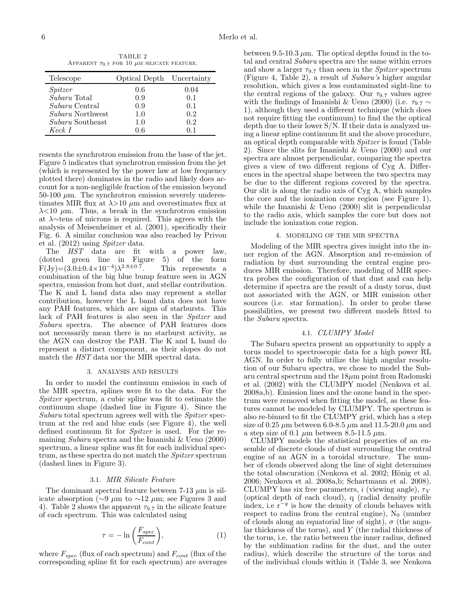TABLE 2 APPARENT  $\tau_{9.7}$  FOR 10  $\mu$ M SILICATE FEATURE.

| Telescope               | Optical Depth Uncertainty |      |
|-------------------------|---------------------------|------|
| Spitzer                 | 0.6                       | 0.04 |
| Subaru Total            | 0.9                       | 0.1  |
| <i>Subaru</i> Central   | 0.9                       | 0.1  |
| <i>Subaru</i> Northwest | 1.0                       | 0.2  |
| <i>Subaru</i> Southeast | 1.0                       | 0.2  |
| Keck I                  | Ո 6                       |      |

resents the synchrotron emission from the base of the jet. Figure 5 indicates that synchrotron emission from the jet (which is represented by the power law at low frequency plotted there) dominates in the radio and likely does account for a non-negligible fraction of the emission beyond  $50-100 \mu m$ . The synchrotron emission severely underestimates MIR flux at  $\lambda$ >10  $\mu$ m and overestimates flux at  $\lambda$ <10  $\mu$ m. Thus, a break in the synchrotron emission at λ∼tens of microns is required. This agrees with the analysis of Meisenheimer et al. (2001), specifically their Fig. 6. A similar conclusion was also reached by Privon et al. (2012) using Spitzer data.

The HST data are fit with a power law, (dotted green line in Figure 5) of the form  $F(Jy)=(3.0 \pm 0.4 \times 10^{-4})\lambda^{2.8 \pm 0.7}$ . This represents a combination of the big blue bump feature seen in AGN spectra, emission from hot dust, and stellar contribution. The K and L band data also may represent a stellar contribution, however the L band data does not have any PAH features, which are signs of starbursts. This lack of PAH features is also seen in the Spitzer and Subaru spectra. The absence of PAH features does not necessarily mean there is no starburst activity, as the AGN can destroy the PAH. The K and L band do represent a distinct component, as their slopes do not match the HST data nor the MIR spectral data.

#### 3. ANALYSIS AND RESULTS

In order to model the continuum emission in each of the MIR spectra, splines were fit to the data. For the Spitzer spectrum, a cubic spline was fit to estimate the continuum shape (dashed line in Figure 4). Since the Subaru total spectrum agrees well with the *Spitzer* spectrum at the red and blue ends (see Figure 4), the well defined continuum fit for Spitzer is used. For the remaining *Subaru* spectra and the Imanishi  $\&$  Ueno (2000) spectrum, a linear spline was fit for each individual spectrum, as these spectra do not match the *Spitzer* spectrum (dashed lines in Figure 3).

#### 3.1. MIR Silicate Feature

The dominant spectral feature between 7-13  $\mu$ m is silicate absorption ( $\sim$ 9  $\mu$ m to  $\sim$ 12  $\mu$ m; see Figures 3 and 4). Table 2 shows the apparent  $\tau_{9.7}$  in the silicate feature of each spectrum. This was calculated using

$$
\tau = -\ln\left(\frac{F_{spec}}{F_{cont}}\right),\tag{1}
$$

where  $F_{spec}$  (flux of each spectrum) and  $F_{cont}$  (flux of the corresponding spline fit for each spectrum) are averages

between 9.5-10.3  $\mu$ m. The optical depths found in the total and central Subaru spectra are the same within errors and show a larger  $\tau_{9.7}$  than seen in the *Spitzer* spectrum (Figure 4, Table 2), a result of Subaru's higher angular resolution, which gives a less contaminated sight-line to the central regions of the galaxy. Our  $\tau_{9.7}$  values agree with the findings of Imanishi & Ueno (2000) (i.e.  $\tau_{9.7} \sim$ 1), although they used a different technique (which does not require fitting the continuum) to find the the optical depth due to their lower S/N. If their data is analyzed using a linear spline continuum fit and the above procedure, an optical depth comparable with Spitzer is found (Table 2). Since the slits for Imanishi & Ueno (2000) and our spectra are almost perpendicular, comparing the spectra gives a view of two different regions of Cyg A. Differences in the spectral shape between the two spectra may be due to the different regions covered by the spectra. Our slit is along the radio axis of Cyg A, which samples the core and the ionization cone region (see Figure 1), while the Imanishi & Ueno (2000) slit is perpendicular to the radio axis, which samples the core but does not include the ionization cone region.

## 4. MODELING OF THE MIR SPECTRA

Modeling of the MIR spectra gives insight into the inner region of the AGN. Absorption and re-emission of radiation by dust surrounding the central engine produces MIR emission. Therefore, modeling of MIR spectra probes the configuration of that dust and can help determine if spectra are the result of a dusty torus, dust not associated with the AGN, or MIR emission other sources (i.e. star formation). In order to probe these possibilities, we present two different models fitted to the Subaru spectra.

### 4.1. CLUMPY Model

The Subaru spectra present an opportunity to apply a torus model to spectroscopic data for a high power RL AGN. In order to fully utilize the high angular resolution of our Subaru spectra, we chose to model the Subaru central spectrum and the  $18\mu$ m point from Radomski et al. (2002) with the CLUMPY model (Nenkova et al. 2008a,b). Emission lines and the ozone band in the spectrum were removed when fitting the model, as these features cannot be modeled by CLUMPY. The spectrum is also re-binned to fit the CLUMPY grid, which has a step size of 0.25  $\mu$ m between 6.0-8.5  $\mu$ m and 11.5-20.0  $\mu$ m and a step size of 0.1  $\mu$ m between 8.5-11.5  $\mu$ m.

CLUMPY models the statistical properties of an ensemble of discrete clouds of dust surrounding the central engine of an AGN in a toroidal structure. The number of clouds observed along the line of sight determines the total obscuration (Nenkova et al. 2002; Hönig et al. 2006; Nenkova et al. 2008a,b; Schartmann et al. 2008). CLUMPY has six free parameters, i (viewing angle),  $\tau_V$ (optical depth of each cloud), q (radial density profile index, i.e  $r^{-q}$  is how the density of clouds behaves with respect to radius from the central engine),  $N_0$  (number of clouds along an equatorial line of sight),  $\sigma$  (the angular thickness of the torus), and Y (the radial thickness of the torus, i.e. the ratio between the inner radius, defined by the sublimation radius for the dust, and the outer radius), which describe the structure of the torus and of the individual clouds within it (Table 3, see Nenkova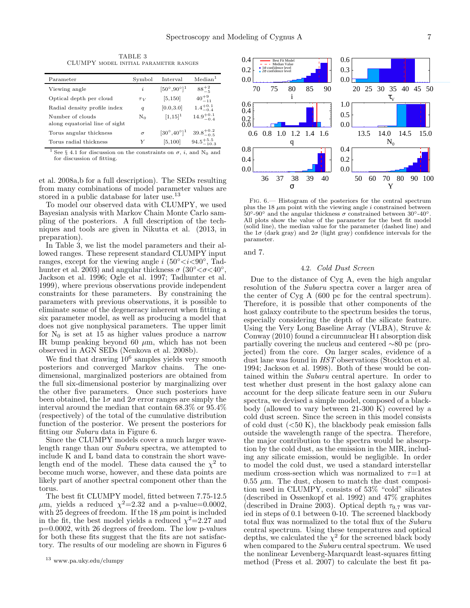TABLE 3 CLUMPY model initial parameter ranges

| Parameter                                          | Symbol   | Interval                       | Median <sup>1</sup>   |
|----------------------------------------------------|----------|--------------------------------|-----------------------|
| Viewing angle                                      | i        | $[50^{\circ}, 90^{\circ}]^{1}$ | $88^{+2}$             |
| Optical depth per cloud                            | $\tau_V$ | [5, 150]                       | $40^{+9}_{-11}$       |
| Radial density profile index                       | q        | [0.0, 3.0]                     | $1.4^{+0.1}_{-0.4}$   |
| Number of clouds<br>along equatorial line of sight | $N_0$    | $[1,15]^{1}$                   | $14.9^{+0.1}_{-0.4}$  |
| Torus angular thickness                            | $\sigma$ | $[30^{\circ}, 40^{\circ}]^{1}$ | $39.8^{+0.2}_{-0.5}$  |
| Torus radial thickness                             | Y        | [5, 100]                       | $94.5^{+5.5}_{-10.3}$ |

<sup>1</sup> See § 4.1 for discussion on the constraints on  $\sigma$ , *i*, and N<sub>0</sub> and for discussion of fitting.

et al. 2008a,b for a full description). The SEDs resulting from many combinations of model parameter values are stored in a public database for later use.<sup>13</sup>

To model our observed data with CLUMPY, we used Bayesian analysis with Markov Chain Monte Carlo sampling of the posteriors. A full description of the techniques and tools are given in Nikutta et al. (2013, in preparation).

In Table 3, we list the model parameters and their allowed ranges. These represent standard CLUMPY input ranges, except for the viewing angle i  $(50^{\circ} < i < 90^{\circ}$ , Tadhunter et al. 2003) and angular thickness  $\sigma$  (30 $\degree < \sigma < 40\degree$ ) Jackson et al. 1996; Ogle et al. 1997; Tadhunter et al. 1999), where previous observations provide independent constraints for these parameters. By constraining the parameters with previous observations, it is possible to eliminate some of the degeneracy inherent when fitting a six parameter model, as well as producing a model that does not give nonphysical parameters. The upper limit for  $N_0$  is set at 15 as higher values produce a narrow IR bump peaking beyond 60  $\mu$ m, which has not been observed in AGN SEDs (Nenkova et al. 2008b).

We find that drawing  $10^6$  samples yields very smooth posteriors and converged Markov chains. The onedimensional, marginalized posteriors are obtained from the full six-dimensional posterior by marginalizing over the other five parameters. Once such posteriors have been obtained, the  $1\sigma$  and  $2\sigma$  error ranges are simply the interval around the median that contain 68.3% or 95.4% (respectively) of the total of the cumulative distribution function of the posterior. We present the posteriors for fitting our Subaru data in Figure 6.

Since the CLUMPY models cover a much larger wavelength range than our Subaru spectra, we attempted to include K and L band data to constrain the short wavelength end of the model. These data caused the  $\chi^2$  to become much worse, however, and these data points are likely part of another spectral component other than the torus.

The best fit CLUMPY model, fitted between 7.75-12.5  $\mu$ m, yields a reduced  $\chi^2$ =2.32 and a p-value=0.0002, with 25 degrees of freedom. If the  $18 \mu m$  point is included in the fit, the best model yields a reduced  $\chi^2$ =2.27 and p=0.0002, with 26 degrees of freedom. The low p-values for both these fits suggest that the fits are not satisfactory. The results of our modeling are shown in Figures 6



Fig. 6.— Histogram of the posteriors for the central spectrum plus the 18  $\mu$ m point with the viewing angle i constrained between 50<sup>°</sup>-90<sup>°</sup> and the angular thickness  $\sigma$  constrained between 30<sup>°</sup>-40<sup>°</sup> All plots show the value of the parameter for the best fit model (solid line), the median value for the parameter (dashed line) and the  $1\sigma$  (dark gray) and  $2\sigma$  (light gray) confidence intervals for the parameter.

and 7.

# 4.2. Cold Dust Screen

Due to the distance of Cyg A, even the high angular resolution of the Subaru spectra cover a larger area of the center of Cyg A (600 pc for the central spectrum). Therefore, it is possible that other components of the host galaxy contribute to the spectrum besides the torus, especially considering the depth of the silicate feature. Using the Very Long Baseline Array (VLBA), Struve & Conway (2010) found a circumnuclear H i absorption disk partially covering the nucleus and centered ∼80 pc (projected) from the core. On larger scales, evidence of a dust lane was found in HST observations (Stockton et al. 1994; Jackson et al. 1998). Both of these would be contained within the Subaru central aperture. In order to test whether dust present in the host galaxy alone can account for the deep silicate feature seen in our Subaru spectra, we devised a simple model, composed of a blackbody (allowed to vary between 21-300 K) covered by a cold dust screen. Since the screen in this model consists of cold dust  $( $50 K$ ), the blackbody peak emission falls$ outside the wavelength range of the spectra. Therefore, the major contribution to the spectra would be absorption by the cold dust, as the emission in the MIR, including any silicate emission, would be negligible. In order to model the cold dust, we used a standard interstellar medium cross-section which was normalized to  $\tau=1$  at  $0.55 \mu$ m. The dust, chosen to match the dust composition used in CLUMPY, consists of 53% "cold" silicates (described in Ossenkopf et al. 1992) and 47% graphites (described in Draine 2003). Optical depth  $\tau_{9.7}$  was varied in steps of 0.1 between 0-10. The screened blackbody total flux was normalized to the total flux of the Subaru central spectrum. Using these temperatures and optical depths, we calculated the  $\chi^2$  for the screened black body when compared to the Subaru central spectrum. We used the nonlinear Levenberg-Marquardt least-squares fitting method (Press et al. 2007) to calculate the best fit pa-

<sup>13</sup> www.pa.uky.edu/clumpy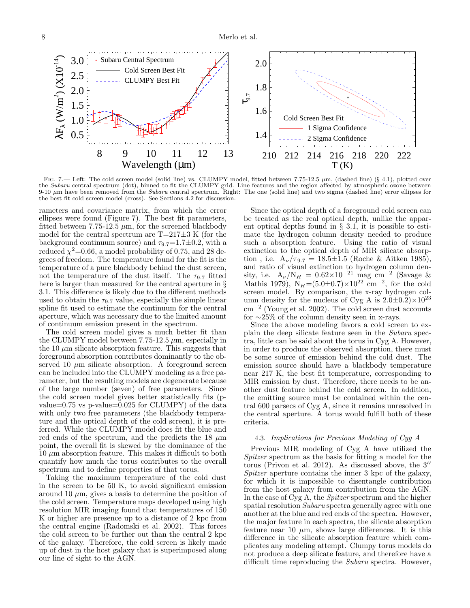

FIG. 7.— Left: The cold screen model (solid line) vs. CLUMPY model, fitted between 7.75-12.5  $\mu$ m, (dashed line) (§ 4.1), plotted over the Subaru central spectrum (dot), binned to fit the CLUMPY grid. Line features and the region affected by atmospheric ozone between 9-10  $\mu$ m have been removed from the Subaru central spectrum. Right: The one (solid line) and two sigma (dashed line) error ellipses for the best fit cold screen model (cross). See Sections 4.2 for discussion.

rameters and covariance matrix, from which the error ellipses were found (Figure 7). The best fit parameters, fitted between 7.75-12.5  $\mu$ m, for the screened blackbody model for the central spectrum are  $T=217\pm3$  K (for the background continuum source) and  $\tau_{9.7}$ =1.7 $\pm$ 0.2, with a reduced  $\chi^2$ =0.66, a model probability of 0.75, and 28 degrees of freedom. The temperature found for the fit is the temperature of a pure blackbody behind the dust screen, not the temperature of the dust itself. The  $\tau_{9.7}$  fitted here is larger than measured for the central aperture in § 3.1. This difference is likely due to the different methods used to obtain the  $\tau_{9.7}$  value, especially the simple linear spline fit used to estimate the continuum for the central aperture, which was necessary due to the limited amount of continuum emission present in the spectrum.

The cold screen model gives a much better fit than the CLUMPY model between  $7.75$ -12.5  $\mu$ m, especially in the 10  $\mu$ m silicate absorption feature. This suggests that foreground absorption contributes dominantly to the observed 10  $\mu$ m silicate absorption. A foreground screen can be included into the CLUMPY modeling as a free parameter, but the resulting models are degenerate because of the large number (seven) of free parameters. Since the cold screen model gives better statistically fits (pvalue=0.75 vs p-value=0.025 for CLUMPY) of the data with only two free parameters (the blackbody temperature and the optical depth of the cold screen), it is preferred. While the CLUMPY model does fit the blue and red ends of the spectrum, and the predicts the 18  $\mu$ m point, the overall fit is skewed by the dominance of the  $10 \mu m$  absorption feature. This makes it difficult to both quantify how much the torus contributes to the overall spectrum and to define properties of that torus.

Taking the maximum temperature of the cold dust in the screen to be 50 K, to avoid significant emission around 10  $\mu$ m, gives a basis to determine the position of the cold screen. Temperature maps developed using high resolution MIR imaging found that temperatures of 150 K or higher are presence up to a distance of 2 kpc from the central engine (Radomski et al. 2002). This forces the cold screen to be further out than the central 2 kpc of the galaxy. Therefore, the cold screen is likely made up of dust in the host galaxy that is superimposed along our line of sight to the AGN.

Since the optical depth of a foreground cold screen can be treated as the real optical depth, unlike the apparent optical depths found in § 3.1, it is possible to estimate the hydrogen column density needed to produce such a absorption feature. Using the ratio of visual extinction to the optical depth of MIR silicate absorption, i.e.  $A_{\nu}/\tau_{9.7} = 18.5 \pm 1.5$  (Roche & Aitken 1985), and ratio of visual extinction to hydrogen column density, i.e.  $A_{\nu}/N_H = 0.62 \times 10^{-21}$  mag cm<sup>-2</sup> (Savage & Mathis 1979),  $N_H = (5.0 \pm 0.7) \times 10^{22}$  cm<sup>-2</sup>, for the cold screen model. By comparison, the x-ray hydrogen column density for the nucleus of Cyg A is  $2.0 \pm 0.2$ ) $\times 10^{23}$ cm−<sup>2</sup> (Young et al. 2002). The cold screen dust accounts for ∼25% of the column density seen in x-rays.

Since the above modeling favors a cold screen to explain the deep silicate feature seen in the Subaru spectra, little can be said about the torus in Cyg A. However, in order to produce the observed absorption, there must be some source of emission behind the cold dust. The emission source should have a blackbody temperature near 217 K, the best fit temperature, corresponding to MIR emission by dust. Therefore, there needs to be another dust feature behind the cold screen. In addition, the emitting source must be contained within the central 600 parsecs of Cyg A, since it remains unresolved in the central aperture. A torus would fulfill both of these criteria.

## 4.3. Implications for Previous Modeling of Cyg A

Previous MIR modeling of Cyg A have utilized the Spitzer spectrum as the basis for fitting a model for the torus (Privon et al. 2012). As discussed above, the 3′′ Spitzer aperture contains the inner 3 kpc of the galaxy, for which it is impossible to disentangle contribution from the host galaxy from contribution from the AGN. In the case of Cyg A, the Spitzer spectrum and the higher spatial resolution Subaru spectra generally agree with one another at the blue and red ends of the spectra. However, the major feature in each spectra, the silicate absorption feature near 10  $\mu$ m, shows large differences. It is this difference in the silicate absorption feature which complicates any modeling attempt. Clumpy torus models do not produce a deep silicate feature, and therefore have a difficult time reproducing the *Subaru* spectra. However,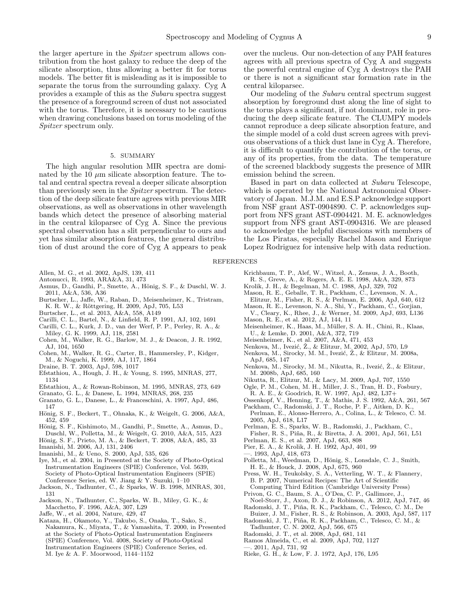the larger aperture in the Spitzer spectrum allows contribution from the host galaxy to reduce the deep of the silicate absorption, thus allowing a better fit for torus models. The better fit is misleading as it is impossible to separate the torus from the surrounding galaxy. Cyg A provides a example of this as the Subaru spectra suggest the presence of a foreground screen of dust not associated with the torus. Therefore, it is necessary to be cautious when drawing conclusions based on torus modeling of the Spitzer spectrum only.

#### 5. SUMMARY

The high angular resolution MIR spectra are dominated by the  $10 \mu m$  silicate absorption feature. The total and central spectra reveal a deeper silicate absorption than previously seen in the Spitzer spectrum. The detection of the deep silicate feature agrees with previous MIR observations, as well as observations in other wavelength bands which detect the presence of absorbing material in the central kiloparsec of Cyg A. Since the previous spectral observation has a slit perpendicular to ours and yet has similar absorption features, the general distribution of dust around the core of Cyg A appears to peak

- Allen, M. G., et al. 2002, ApJS, 139, 411
- Antonucci, R. 1993, ARA&A, 31, 473
- Asmus, D., Gandhi, P., Smette, A., Hönig, S. F., & Duschl, W. J. 2011, A&A, 536, A36
- Burtscher, L., Jaffe, W., Raban, D., Meisenheimer, K., Tristram, K. R. W., & Röttgering, H. 2009, ApJ, 705, L53
- Burtscher, L., et al. 2013, A&A, 558, A149
- Carilli, C. L., Bartel, N., & Linfield, R. P. 1991, AJ, 102, 1691
- Carilli, C. L., Kurk, J. D., van der Werf, P. P., Perley, R. A., &
- Miley, G. K. 1999, AJ, 118, 2581
- Cohen, M., Walker, R. G., Barlow, M. J., & Deacon, J. R. 1992, AJ, 104, 1650
- Cohen, M., Walker, R. G., Carter, B., Hammersley, P., Kidger, M., & Noguchi, K. 1999, AJ, 117, 1864
- Draine, B. T. 2003, ApJ, 598, 1017
- Efstathiou, A., Hough, J. H., & Young, S. 1995, MNRAS, 277, 1134
- Efstathiou, A., & Rowan-Robinson, M. 1995, MNRAS, 273, 649
- Granato, G. L., & Danese, L. 1994, MNRAS, 268, 235
- Granato, G. L., Danese, L., & Franceschini, A. 1997, ApJ, 486,
- 147
- Hönig, S. F., Beckert, T., Ohnaka, K., & Weigelt, G. 2006, A&A, 452, 459
- Hönig, S. F., Kishimoto, M., Gandhi, P., Smette, A., Asmus, D.,
- Duschl, W., Polletta, M., & Weigelt, G. 2010, A&A, 515, A23
- Hönig, S. F., Prieto, M. A., & Beckert, T. 2008, A&A, 485, 33
- Imanishi, M. 2006, AJ, 131, 2406
- Imanishi, M., & Ueno, S. 2000, ApJ, 535, 626
- Iye, M., et al. 2004, in Presented at the Society of Photo-Optical Instrumentation Engineers (SPIE) Conference, Vol. 5639, Society of Photo-Optical Instrumentation Engineers (SPIE) Conference Series, ed. W. Jiang & Y. Suzuki, 1–10
- Jackson, N., Tadhunter, C., & Sparks, W. B. 1998, MNRAS, 301, 131
- Jackson, N., Tadhunter, C., Sparks, W. B., Miley, G. K., & Macchetto, F. 1996, A&A, 307, L29
- 
- Jaffe, W., et al. 2004, Nature, 429, 47
- Kataza, H., Okamoto, Y., Takubo, S., Onaka, T., Sako, S., Nakamura, K., Miyata, T., & Yamashita, T. 2000, in Presented at the Society of Photo-Optical Instrumentation Engineers (SPIE) Conference, Vol. 4008, Society of Photo-Optical Instrumentation Engineers (SPIE) Conference Series, ed. M. Iye & A. F. Moorwood, 1144–1152

over the nucleus. Our non-detection of any PAH features agrees with all previous spectra of Cyg A and suggests the powerful central engine of Cyg A destroys the PAH or there is not a significant star formation rate in the central kiloparsec.

Our modeling of the Subaru central spectrum suggest absorption by foreground dust along the line of sight to the torus plays a significant, if not dominant, role in producing the deep silicate feature. The CLUMPY models cannot reproduce a deep silicate absorption feature, and the simple model of a cold dust screen agrees with previous observations of a thick dust lane in Cyg A. Therefore, it is difficult to quantify the contribution of the torus, or any of its properties, from the data. The temperature of the screened blackbody suggests the presence of MIR emission behind the screen.

Based in part on data collected at Subaru Telescope, which is operated by the National Astronomical Observatory of Japan. M.J.M. and E.S.P acknowledge support from NSF grant AST-0904890. C. P. acknowledges support from NFS grant AST-0904421. M. E. acknowledges support from NFS grant AST-0904316. We are pleased to acknowledge the helpful discussions with members of the Los Piratas, especially Rachel Mason and Enrique Lopez Rodriguez for intensive help with data reduction.

#### REFERENCES

- Krichbaum, T. P., Alef, W., Witzel, A., Zensus, J. A., Booth,
- R. S., Greve, A., & Rogers, A. E. E. 1998, A&A, 329, 873
- Krolik, J. H., & Begelman, M. C. 1988, ApJ, 329, 702
- Mason, R. E., Geballe, T. R., Packham, C., Levenson, N. A., Elitzur, M., Fisher, R. S., & Perlman, E. 2006, ApJ, 640, 612
- Mason, R. E., Levenson, N. A., Shi, Y., Packham, C., Gorjian, V., Cleary, K., Rhee, J., & Werner, M. 2009, ApJ, 693, L136
- Mason, R. E., et al. 2012, AJ, 144, 11
- Meisenheimer, K., Haas, M., M¨uller, S. A. H., Chini, R., Klaas, U., & Lemke, D. 2001, A&A, 372, 719
- Meisenheimer, K., et al. 2007, A&A, 471, 453
- Nenkova, M., Ivezić, Ž., & Elitzur, M. 2002, ApJ, 570, L9
- Nenkova, M., Sirocky, M. M., Ivezić, Ž., & Elitzur, M. 2008a, ApJ, 685, 147
- Nenkova, M., Sirocky, M. M., Nikutta, R., Ivezić, Ž., & Elitzur, M. 2008b, ApJ, 685, 160
- Nikutta, R., Elitzur, M., & Lacy, M. 2009, ApJ, 707, 1550
- Ogle, P. M., Cohen, M. H., Miller, J. S., Tran, H. D., Fosbury,
- R. A. E., & Goodrich, R. W. 1997, ApJ, 482, L37+
- Ossenkopf, V., Henning, T., & Mathis, J. S. 1992, A&A, 261, 567 Packham, C., Radomski, J. T., Roche, P. F., Aitken, D. K.,
- Perlman, E., Alonso-Herrero, A., Colina, L., & Telesco, C. M. 2005, ApJ, 618, L17
- Perlman, E. S., Sparks, W. B., Radomski, J., Packham, C.,
- Fisher, R. S., Piña, R., & Biretta, J. A. 2001, ApJ, 561, L51
- Perlman, E. S., et al. 2007, ApJ, 663, 808
- Pier, E. A., & Krolik, J. H. 1992, ApJ, 401, 99
- —. 1993, ApJ, 418, 673
- Polletta, M., Weedman, D., Hönig, S., Lonsdale, C. J., Smith, H. E., & Houck, J. 2008, ApJ, 675, 960
- Press, W. H., Teukolsky, S. A., Vetterling, W. T., & Flannery, B. P. 2007, Numerical Recipes: The Art of Scientific Computing Third Edition (Cambridge University Press)
- Privon, G. C., Baum, S. A., O'Dea, C. P., Gallimore, J., Noel-Storr, J., Axon, D. J., & Robinson, A. 2012, ApJ, 747, 46
- Radomski, J. T., Piña, R. K., Packham, C., Telesco, C. M., De Buizer, J. M., Fisher, R. S., & Robinson, A. 2003, ApJ, 587, 117
- Radomski, J. T., Piña, R. K., Packham, C., Telesco, C. M., & Tadhunter, C. N. 2002, ApJ, 566, 675
- Radomski, J. T., et al. 2008, ApJ, 681, 141
- Ramos Almeida, C., et al. 2009, ApJ, 702, 1127
- —. 2011, ApJ, 731, 92
- Rieke, G. H., & Low, F. J. 1972, ApJ, 176, L95